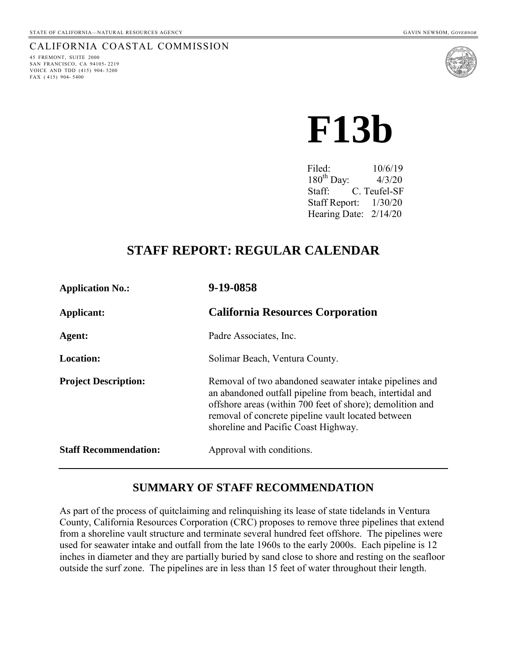#### CALIFORNIA COASTAL COMMISSION

45 FREMONT, SUITE 2000 SAN FRANCISCO, CA 94105- 2219 VOICE AND TDD (415) 904- 5200 FAX ( 415) 904- 5400



 **F13b** 

Filed:  $10/6/19$  $180^{th}$  Day:  $4/3/20$  Staff: C. Teufel-SF Staff Report: 1/30/20 Hearing Date: 2/14/20

## **STAFF REPORT: REGULAR CALENDAR**

| <b>Application No.:</b>      | 9-19-0858                                                                                                                                                                                                                                                                     |
|------------------------------|-------------------------------------------------------------------------------------------------------------------------------------------------------------------------------------------------------------------------------------------------------------------------------|
| Applicant:                   | <b>California Resources Corporation</b>                                                                                                                                                                                                                                       |
| Agent:                       | Padre Associates, Inc.                                                                                                                                                                                                                                                        |
| <b>Location:</b>             | Solimar Beach, Ventura County.                                                                                                                                                                                                                                                |
| <b>Project Description:</b>  | Removal of two abandoned seawater intake pipelines and<br>an abandoned outfall pipeline from beach, intertidal and<br>offshore areas (within 700 feet of shore); demolition and<br>removal of concrete pipeline vault located between<br>shoreline and Pacific Coast Highway. |
| <b>Staff Recommendation:</b> | Approval with conditions.                                                                                                                                                                                                                                                     |

## **SUMMARY OF STAFF RECOMMENDATION**

As part of the process of quitclaiming and relinquishing its lease of state tidelands in Ventura County, California Resources Corporation (CRC) proposes to remove three pipelines that extend from a shoreline vault structure and terminate several hundred feet offshore. The pipelines were used for seawater intake and outfall from the late 1960s to the early 2000s. Each pipeline is 12 inches in diameter and they are partially buried by sand close to shore and resting on the seafloor outside the surf zone. The pipelines are in less than 15 feet of water throughout their length.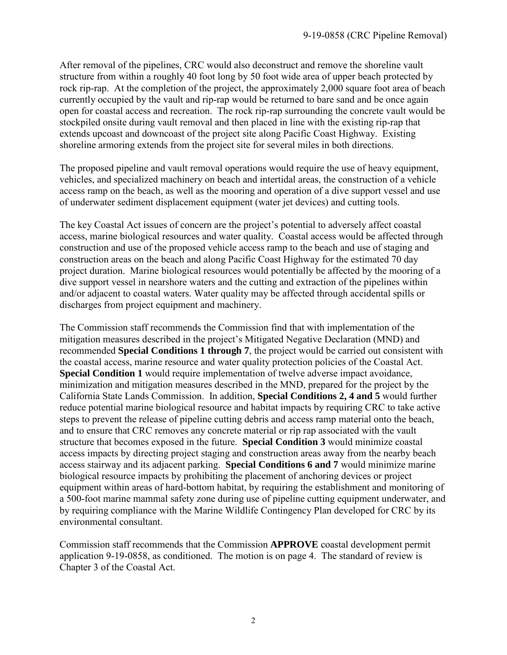After removal of the pipelines, CRC would also deconstruct and remove the shoreline vault structure from within a roughly 40 foot long by 50 foot wide area of upper beach protected by rock rip-rap. At the completion of the project, the approximately 2,000 square foot area of beach currently occupied by the vault and rip-rap would be returned to bare sand and be once again open for coastal access and recreation. The rock rip-rap surrounding the concrete vault would be stockpiled onsite during vault removal and then placed in line with the existing rip-rap that extends upcoast and downcoast of the project site along Pacific Coast Highway. Existing shoreline armoring extends from the project site for several miles in both directions.

The proposed pipeline and vault removal operations would require the use of heavy equipment, vehicles, and specialized machinery on beach and intertidal areas, the construction of a vehicle access ramp on the beach, as well as the mooring and operation of a dive support vessel and use of underwater sediment displacement equipment (water jet devices) and cutting tools.

The key Coastal Act issues of concern are the project's potential to adversely affect coastal access, marine biological resources and water quality. Coastal access would be affected through construction and use of the proposed vehicle access ramp to the beach and use of staging and construction areas on the beach and along Pacific Coast Highway for the estimated 70 day project duration. Marine biological resources would potentially be affected by the mooring of a dive support vessel in nearshore waters and the cutting and extraction of the pipelines within and/or adjacent to coastal waters. Water quality may be affected through accidental spills or discharges from project equipment and machinery.

The Commission staff recommends the Commission find that with implementation of the mitigation measures described in the project's Mitigated Negative Declaration (MND) and recommended **Special Conditions 1 through 7**, the project would be carried out consistent with the coastal access, marine resource and water quality protection policies of the Coastal Act. **Special Condition 1** would require implementation of twelve adverse impact avoidance, minimization and mitigation measures described in the MND, prepared for the project by the California State Lands Commission. In addition, **Special Conditions 2, 4 and 5** would further reduce potential marine biological resource and habitat impacts by requiring CRC to take active steps to prevent the release of pipeline cutting debris and access ramp material onto the beach, and to ensure that CRC removes any concrete material or rip rap associated with the vault structure that becomes exposed in the future. **Special Condition 3** would minimize coastal access impacts by directing project staging and construction areas away from the nearby beach access stairway and its adjacent parking. **Special Conditions 6 and 7** would minimize marine biological resource impacts by prohibiting the placement of anchoring devices or project equipment within areas of hard-bottom habitat, by requiring the establishment and monitoring of a 500-foot marine mammal safety zone during use of pipeline cutting equipment underwater, and by requiring compliance with the Marine Wildlife Contingency Plan developed for CRC by its environmental consultant.

Commission staff recommends that the Commission **APPROVE** coastal development permit application 9-19-0858, as conditioned. The motion is on page 4. The standard of review is Chapter 3 of the Coastal Act.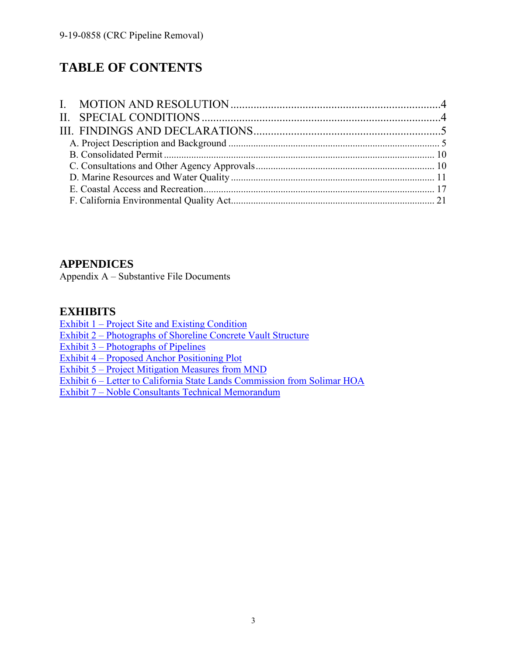# **TABLE OF CONTENTS**

## **APPENDICES**

Appendix A – Substantive File Documents

## **EXHIBITS**

[Exhibit 1 – Project Site and Existing Condition](https://documents.coastal.ca.gov/reports/2020/2/F13b/F13b-2-2020-exhibits.pdf) 

[Exhibit 2 – Photographs of Shoreline Concrete](https://documents.coastal.ca.gov/reports/2020/2/F13b/F13b-2-2020-exhibits.pdf) Vault Structure

[Exhibit 3 – Photographs of Pipelines](https://documents.coastal.ca.gov/reports/2020/2/F13b/F13b-2-2020-exhibits.pdf) 

[Exhibit 4 – Proposed Anchor Positioning Plot](https://documents.coastal.ca.gov/reports/2020/2/F13b/F13b-2-2020-exhibits.pdf) 

[Exhibit 5 – Project Mitigation Measures](https://documents.coastal.ca.gov/reports/2020/2/F13b/F13b-2-2020-exhibits.pdf) from MND

[Exhibit 6 – Letter to California State Lands Commission from](https://documents.coastal.ca.gov/reports/2020/2/F13b/F13b-2-2020-exhibits.pdf) Solimar HOA

[Exhibit 7 – Noble Consultants Technical](https://documents.coastal.ca.gov/reports/2020/2/F13b/F13b-2-2020-exhibits.pdf) Memorandum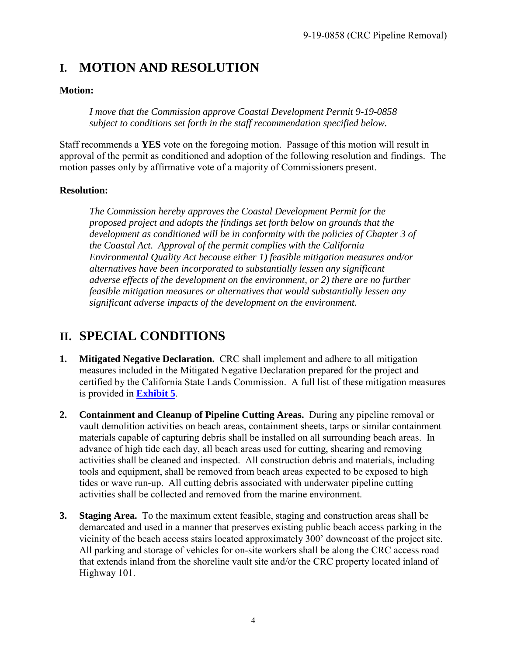# <span id="page-3-0"></span>**I. MOTION AND RESOLUTION**

#### **Motion:**

*I move that the Commission approve Coastal Development Permit 9-19-0858 subject to conditions set forth in the staff recommendation specified below.* 

Staff recommends a **YES** vote on the foregoing motion. Passage of this motion will result in approval of the permit as conditioned and adoption of the following resolution and findings. The motion passes only by affirmative vote of a majority of Commissioners present.

#### **Resolution:**

*The Commission hereby approves the Coastal Development Permit for the proposed project and adopts the findings set forth below on grounds that the development as conditioned will be in conformity with the policies of Chapter 3 of the Coastal Act. Approval of the permit complies with the California Environmental Quality Act because either 1) feasible mitigation measures and/or alternatives have been incorporated to substantially lessen any significant adverse effects of the development on the environment, or 2) there are no further feasible mitigation measures or alternatives that would substantially lessen any significant adverse impacts of the development on the environment.* 

## <span id="page-3-1"></span>**II. SPECIAL CONDITIONS**

- **1. Mitigated Negative Declaration.** CRC shall implement and adhere to all mitigation measures included in the Mitigated Negative Declaration prepared for the project and certified by the California State Lands Commission. A full list of these mitigation measures is provided in **[Exhibit 5](https://documents.coastal.ca.gov/reports/2020/2/F13b/F13b-2-2020-exhibits.pdf)**.
- **2. Containment and Cleanup of Pipeline Cutting Areas.** During any pipeline removal or vault demolition activities on beach areas, containment sheets, tarps or similar containment materials capable of capturing debris shall be installed on all surrounding beach areas. In advance of high tide each day, all beach areas used for cutting, shearing and removing activities shall be cleaned and inspected. All construction debris and materials, including tools and equipment, shall be removed from beach areas expected to be exposed to high tides or wave run-up. All cutting debris associated with underwater pipeline cutting activities shall be collected and removed from the marine environment.
- **3. Staging Area.** To the maximum extent feasible, staging and construction areas shall be demarcated and used in a manner that preserves existing public beach access parking in the vicinity of the beach access stairs located approximately 300' downcoast of the project site. All parking and storage of vehicles for on-site workers shall be along the CRC access road that extends inland from the shoreline vault site and/or the CRC property located inland of Highway 101.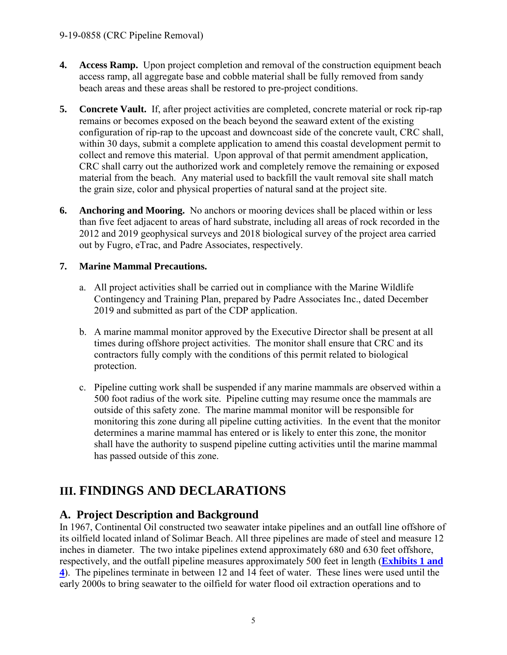- **4. Access Ramp.** Upon project completion and removal of the construction equipment beach access ramp, all aggregate base and cobble material shall be fully removed from sandy beach areas and these areas shall be restored to pre-project conditions.
- **5. Concrete Vault.** If, after project activities are completed, concrete material or rock rip-rap remains or becomes exposed on the beach beyond the seaward extent of the existing configuration of rip-rap to the upcoast and downcoast side of the concrete vault, CRC shall, within 30 days, submit a complete application to amend this coastal development permit to collect and remove this material. Upon approval of that permit amendment application, CRC shall carry out the authorized work and completely remove the remaining or exposed material from the beach. Any material used to backfill the vault removal site shall match the grain size, color and physical properties of natural sand at the project site.
- **6. Anchoring and Mooring.** No anchors or mooring devices shall be placed within or less than five feet adjacent to areas of hard substrate, including all areas of rock recorded in the 2012 and 2019 geophysical surveys and 2018 biological survey of the project area carried out by Fugro, eTrac, and Padre Associates, respectively.

#### **7. Marine Mammal Precautions.**

- a. All project activities shall be carried out in compliance with the Marine Wildlife Contingency and Training Plan, prepared by Padre Associates Inc., dated December 2019 and submitted as part of the CDP application.
- b. A marine mammal monitor approved by the Executive Director shall be present at all times during offshore project activities. The monitor shall ensure that CRC and its contractors fully comply with the conditions of this permit related to biological protection.
- c. Pipeline cutting work shall be suspended if any marine mammals are observed within a 500 foot radius of the work site. Pipeline cutting may resume once the mammals are outside of this safety zone. The marine mammal monitor will be responsible for monitoring this zone during all pipeline cutting activities. In the event that the monitor determines a marine mammal has entered or is likely to enter this zone, the monitor shall have the authority to suspend pipeline cutting activities until the marine mammal has passed outside of this zone.

# <span id="page-4-0"></span>**III. FINDINGS AND DECLARATIONS**

## <span id="page-4-1"></span>**A. Project Description and Background**

In 1967, Continental Oil constructed two seawater intake pipelines and an outfall line offshore of its oilfield located inland of Solimar Beach. All three pipelines are made of steel and measure 12 inches in diameter. The two intake pipelines extend approximately 680 and 630 feet offshore, respectively, and the outfall pipeline measures approximately 500 feet in length (**[Exhibits 1 and](https://documents.coastal.ca.gov/reports/2020/2/F13b/F13b-2-2020-exhibits.pdf)  [4](https://documents.coastal.ca.gov/reports/2020/2/F13b/F13b-2-2020-exhibits.pdf)**). The pipelines terminate in between 12 and 14 feet of water. These lines were used until the early 2000s to bring seawater to the oilfield for water flood oil extraction operations and to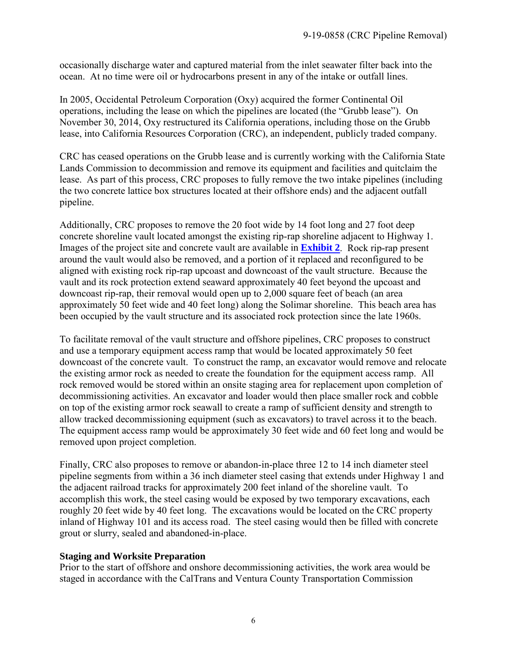occasionally discharge water and captured material from the inlet seawater filter back into the ocean. At no time were oil or hydrocarbons present in any of the intake or outfall lines.

In 2005, Occidental Petroleum Corporation (Oxy) acquired the former Continental Oil operations, including the lease on which the pipelines are located (the "Grubb lease"). On November 30, 2014, Oxy restructured its California operations, including those on the Grubb lease, into California Resources Corporation (CRC), an independent, publicly traded company.

CRC has ceased operations on the Grubb lease and is currently working with the California State Lands Commission to decommission and remove its equipment and facilities and quitclaim the lease. As part of this process, CRC proposes to fully remove the two intake pipelines (including the two concrete lattice box structures located at their offshore ends) and the adjacent outfall pipeline.

Additionally, CRC proposes to remove the 20 foot wide by 14 foot long and 27 foot deep concrete shoreline vault located amongst the existing rip-rap shoreline adjacent to Highway 1. Images of the project site and concrete vault are available in **[Exhibit 2](https://documents.coastal.ca.gov/reports/2020/2/F13b/F13b-2-2020-exhibits.pdf)**. Rock rip-rap present around the vault would also be removed, and a portion of it replaced and reconfigured to be aligned with existing rock rip-rap upcoast and downcoast of the vault structure. Because the vault and its rock protection extend seaward approximately 40 feet beyond the upcoast and downcoast rip-rap, their removal would open up to 2,000 square feet of beach (an area approximately 50 feet wide and 40 feet long) along the Solimar shoreline. This beach area has been occupied by the vault structure and its associated rock protection since the late 1960s.

To facilitate removal of the vault structure and offshore pipelines, CRC proposes to construct and use a temporary equipment access ramp that would be located approximately 50 feet downcoast of the concrete vault. To construct the ramp, an excavator would remove and relocate the existing armor rock as needed to create the foundation for the equipment access ramp. All rock removed would be stored within an onsite staging area for replacement upon completion of decommissioning activities. An excavator and loader would then place smaller rock and cobble on top of the existing armor rock seawall to create a ramp of sufficient density and strength to allow tracked decommissioning equipment (such as excavators) to travel across it to the beach. The equipment access ramp would be approximately 30 feet wide and 60 feet long and would be removed upon project completion.

Finally, CRC also proposes to remove or abandon-in-place three 12 to 14 inch diameter steel pipeline segments from within a 36 inch diameter steel casing that extends under Highway 1 and the adjacent railroad tracks for approximately 200 feet inland of the shoreline vault. To accomplish this work, the steel casing would be exposed by two temporary excavations, each roughly 20 feet wide by 40 feet long. The excavations would be located on the CRC property inland of Highway 101 and its access road. The steel casing would then be filled with concrete grout or slurry, sealed and abandoned-in-place.

#### **Staging and Worksite Preparation**

Prior to the start of offshore and onshore decommissioning activities, the work area would be staged in accordance with the CalTrans and Ventura County Transportation Commission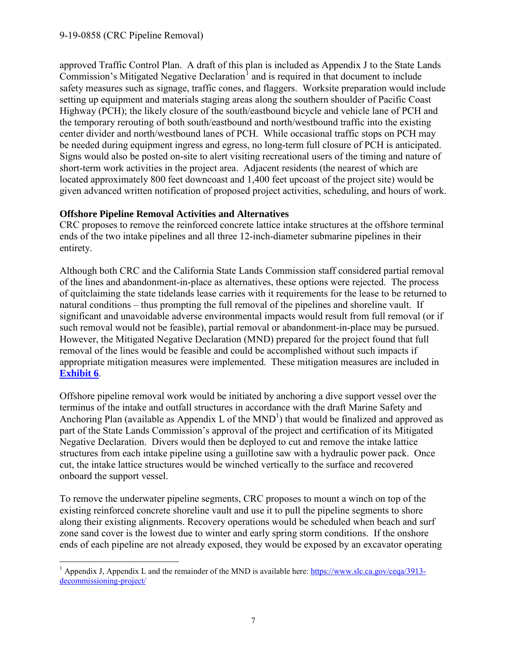approved Traffic Control Plan. A draft of this plan is included as Appendix J to the State Lands Commission's Mitigated Negative Declaration<sup>[1](#page-6-0)</sup> and is required in that document to include safety measures such as signage, traffic cones, and flaggers. Worksite preparation would include setting up equipment and materials staging areas along the southern shoulder of Pacific Coast Highway (PCH); the likely closure of the south/eastbound bicycle and vehicle lane of PCH and the temporary rerouting of both south/eastbound and north/westbound traffic into the existing center divider and north/westbound lanes of PCH. While occasional traffic stops on PCH may be needed during equipment ingress and egress, no long-term full closure of PCH is anticipated. Signs would also be posted on-site to alert visiting recreational users of the timing and nature of short-term work activities in the project area. Adjacent residents (the nearest of which are located approximately 800 feet downcoast and 1,400 feet upcoast of the project site) would be given advanced written notification of proposed project activities, scheduling, and hours of work.

#### **Offshore Pipeline Removal Activities and Alternatives**

CRC proposes to remove the reinforced concrete lattice intake structures at the offshore terminal ends of the two intake pipelines and all three 12-inch-diameter submarine pipelines in their entirety.

Although both CRC and the California State Lands Commission staff considered partial removal of the lines and abandonment-in-place as alternatives, these options were rejected. The process of quitclaiming the state tidelands lease carries with it requirements for the lease to be returned to natural conditions – thus prompting the full removal of the pipelines and shoreline vault. If significant and unavoidable adverse environmental impacts would result from full removal (or if such removal would not be feasible), partial removal or abandonment-in-place may be pursued. However, the Mitigated Negative Declaration (MND) prepared for the project found that full removal of the lines would be feasible and could be accomplished without such impacts if appropriate mitigation measures were implemented. These mitigation measures are included in **[Exhibit 6](https://documents.coastal.ca.gov/reports/2020/2/F13b/F13b-2-2020-exhibits.pdf)**.

Offshore pipeline removal work would be initiated by anchoring a dive support vessel over the terminus of the intake and outfall structures in accordance with the draft Marine Safety and Anchoring Plan (available as Appendix L of the  $MND<sup>1</sup>$ ) that would be finalized and approved as part of the State Lands Commission's approval of the project and certification of its Mitigated Negative Declaration. Divers would then be deployed to cut and remove the intake lattice structures from each intake pipeline using a guillotine saw with a hydraulic power pack. Once cut, the intake lattice structures would be winched vertically to the surface and recovered onboard the support vessel.

To remove the underwater pipeline segments, CRC proposes to mount a winch on top of the existing reinforced concrete shoreline vault and use it to pull the pipeline segments to shore along their existing alignments. Recovery operations would be scheduled when beach and surf zone sand cover is the lowest due to winter and early spring storm conditions. If the onshore ends of each pipeline are not already exposed, they would be exposed by an excavator operating

<span id="page-6-0"></span> $\overline{a}$ <sup>1</sup> Appendix J, Appendix L and the remainder of the MND is available here: [https://www.slc.ca.gov/ceqa/3913](https://www.slc.ca.gov/ceqa/3913-decommissioning-project/) [decommissioning-project/](https://www.slc.ca.gov/ceqa/3913-decommissioning-project/)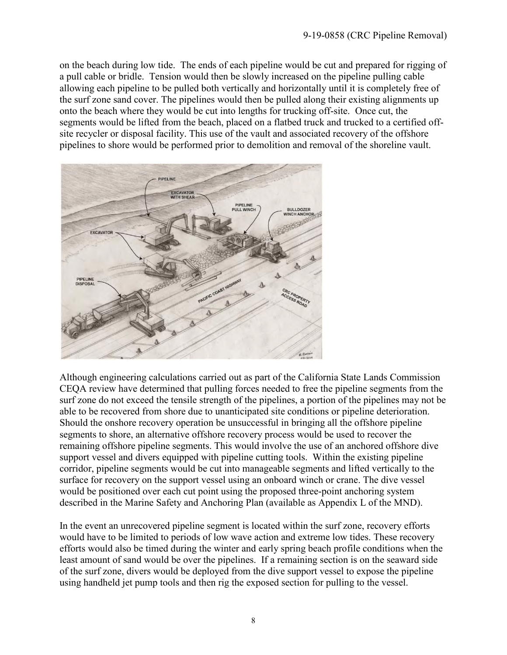on the beach during low tide. The ends of each pipeline would be cut and prepared for rigging of a pull cable or bridle. Tension would then be slowly increased on the pipeline pulling cable allowing each pipeline to be pulled both vertically and horizontally until it is completely free of the surf zone sand cover. The pipelines would then be pulled along their existing alignments up onto the beach where they would be cut into lengths for trucking off-site. Once cut, the segments would be lifted from the beach, placed on a flatbed truck and trucked to a certified offsite recycler or disposal facility. This use of the vault and associated recovery of the offshore pipelines to shore would be performed prior to demolition and removal of the shoreline vault.



Although engineering calculations carried out as part of the California State Lands Commission CEQA review have determined that pulling forces needed to free the pipeline segments from the surf zone do not exceed the tensile strength of the pipelines, a portion of the pipelines may not be able to be recovered from shore due to unanticipated site conditions or pipeline deterioration. Should the onshore recovery operation be unsuccessful in bringing all the offshore pipeline segments to shore, an alternative offshore recovery process would be used to recover the remaining offshore pipeline segments. This would involve the use of an anchored offshore dive support vessel and divers equipped with pipeline cutting tools. Within the existing pipeline corridor, pipeline segments would be cut into manageable segments and lifted vertically to the surface for recovery on the support vessel using an onboard winch or crane. The dive vessel would be positioned over each cut point using the proposed three-point anchoring system described in the Marine Safety and Anchoring Plan (available as Appendix L of the MND).

In the event an unrecovered pipeline segment is located within the surf zone, recovery efforts would have to be limited to periods of low wave action and extreme low tides. These recovery efforts would also be timed during the winter and early spring beach profile conditions when the least amount of sand would be over the pipelines. If a remaining section is on the seaward side of the surf zone, divers would be deployed from the dive support vessel to expose the pipeline using handheld jet pump tools and then rig the exposed section for pulling to the vessel.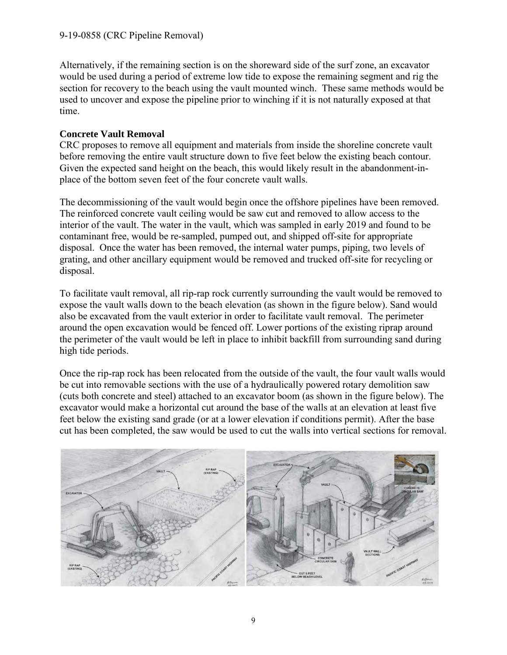Alternatively, if the remaining section is on the shoreward side of the surf zone, an excavator would be used during a period of extreme low tide to expose the remaining segment and rig the section for recovery to the beach using the vault mounted winch. These same methods would be used to uncover and expose the pipeline prior to winching if it is not naturally exposed at that time.

#### **Concrete Vault Removal**

CRC proposes to remove all equipment and materials from inside the shoreline concrete vault before removing the entire vault structure down to five feet below the existing beach contour. Given the expected sand height on the beach, this would likely result in the abandonment-inplace of the bottom seven feet of the four concrete vault walls.

The decommissioning of the vault would begin once the offshore pipelines have been removed. The reinforced concrete vault ceiling would be saw cut and removed to allow access to the interior of the vault. The water in the vault, which was sampled in early 2019 and found to be contaminant free, would be re-sampled, pumped out, and shipped off-site for appropriate disposal. Once the water has been removed, the internal water pumps, piping, two levels of grating, and other ancillary equipment would be removed and trucked off-site for recycling or disposal.

To facilitate vault removal, all rip-rap rock currently surrounding the vault would be removed to expose the vault walls down to the beach elevation (as shown in the figure below). Sand would also be excavated from the vault exterior in order to facilitate vault removal. The perimeter around the open excavation would be fenced off. Lower portions of the existing riprap around the perimeter of the vault would be left in place to inhibit backfill from surrounding sand during high tide periods.

Once the rip-rap rock has been relocated from the outside of the vault, the four vault walls would be cut into removable sections with the use of a hydraulically powered rotary demolition saw (cuts both concrete and steel) attached to an excavator boom (as shown in the figure below). The excavator would make a horizontal cut around the base of the walls at an elevation at least five feet below the existing sand grade (or at a lower elevation if conditions permit). After the base cut has been completed, the saw would be used to cut the walls into vertical sections for removal.

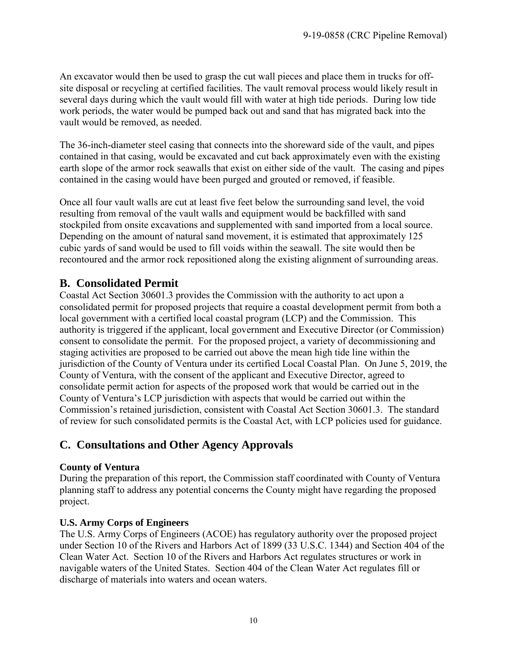An excavator would then be used to grasp the cut wall pieces and place them in trucks for offsite disposal or recycling at certified facilities. The vault removal process would likely result in several days during which the vault would fill with water at high tide periods. During low tide work periods, the water would be pumped back out and sand that has migrated back into the vault would be removed, as needed.

The 36-inch-diameter steel casing that connects into the shoreward side of the vault, and pipes contained in that casing, would be excavated and cut back approximately even with the existing earth slope of the armor rock seawalls that exist on either side of the vault. The casing and pipes contained in the casing would have been purged and grouted or removed, if feasible.

Once all four vault walls are cut at least five feet below the surrounding sand level, the void resulting from removal of the vault walls and equipment would be backfilled with sand stockpiled from onsite excavations and supplemented with sand imported from a local source. Depending on the amount of natural sand movement, it is estimated that approximately 125 cubic yards of sand would be used to fill voids within the seawall. The site would then be recontoured and the armor rock repositioned along the existing alignment of surrounding areas.

## <span id="page-9-0"></span>**B. Consolidated Permit**

Coastal Act Section 30601.3 provides the Commission with the authority to act upon a consolidated permit for proposed projects that require a coastal development permit from both a local government with a certified local coastal program (LCP) and the Commission. This authority is triggered if the applicant, local government and Executive Director (or Commission) consent to consolidate the permit. For the proposed project, a variety of decommissioning and staging activities are proposed to be carried out above the mean high tide line within the jurisdiction of the County of Ventura under its certified Local Coastal Plan. On June 5, 2019, the County of Ventura, with the consent of the applicant and Executive Director, agreed to consolidate permit action for aspects of the proposed work that would be carried out in the County of Ventura's LCP jurisdiction with aspects that would be carried out within the Commission's retained jurisdiction, consistent with Coastal Act Section 30601.3. The standard of review for such consolidated permits is the Coastal Act, with LCP policies used for guidance.

## <span id="page-9-1"></span>**C. Consultations and Other Agency Approvals**

#### **County of Ventura**

During the preparation of this report, the Commission staff coordinated with County of Ventura planning staff to address any potential concerns the County might have regarding the proposed project.

### **U.S. Army Corps of Engineers**

The U.S. Army Corps of Engineers (ACOE) has regulatory authority over the proposed project under Section 10 of the Rivers and Harbors Act of 1899 (33 U.S.C. 1344) and Section 404 of the Clean Water Act. Section 10 of the Rivers and Harbors Act regulates structures or work in navigable waters of the United States. Section 404 of the Clean Water Act regulates fill or discharge of materials into waters and ocean waters.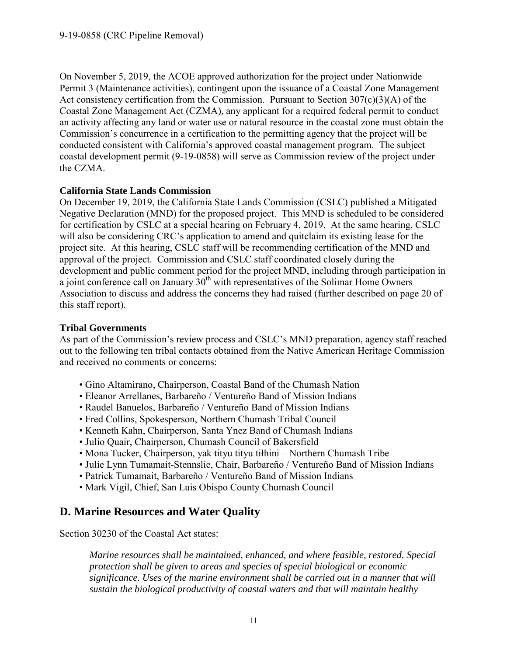On November 5, 2019, the ACOE approved authorization for the project under Nationwide Permit 3 (Maintenance activities), contingent upon the issuance of a Coastal Zone Management Act consistency certification from the Commission. Pursuant to Section 307(c)(3)(A) of the Coastal Zone Management Act (CZMA), any applicant for a required federal permit to conduct an activity affecting any land or water use or natural resource in the coastal zone must obtain the Commission's concurrence in a certification to the permitting agency that the project will be conducted consistent with California's approved coastal management program. The subject coastal development permit (9-19-0858) will serve as Commission review of the project under the CZMA.

#### **California State Lands Commission**

On December 19, 2019, the California State Lands Commission (CSLC) published a Mitigated Negative Declaration (MND) for the proposed project. This MND is scheduled to be considered for certification by CSLC at a special hearing on February 4, 2019. At the same hearing, CSLC will also be considering CRC's application to amend and quitclaim its existing lease for the project site. At this hearing, CSLC staff will be recommending certification of the MND and approval of the project. Commission and CSLC staff coordinated closely during the development and public comment period for the project MND, including through participation in a joint conference call on January  $30<sup>th</sup>$  with representatives of the Solimar Home Owners Association to discuss and address the concerns they had raised (further described on page 20 of this staff report).

#### **Tribal Governments**

As part of the Commission's review process and CSLC's MND preparation, agency staff reached out to the following ten tribal contacts obtained from the Native American Heritage Commission and received no comments or concerns:

- Gino Altamirano, Chairperson, Coastal Band of the Chumash Nation
- Eleanor Arrellanes, Barbareño / Ventureño Band of Mission Indians
- Raudel Banuelos, Barbareño / Ventureño Band of Mission Indians
- Fred Collins, Spokesperson, Northern Chumash Tribal Council
- Kenneth Kahn, Chairperson, Santa Ynez Band of Chumash Indians
- Julio Quair, Chairperson, Chumash Council of Bakersfield
- Mona Tucker, Chairperson, yak tityu tityu tiłhini Northern Chumash Tribe
- Julie Lynn Tumamait-Stennslie, Chair, Barbareño / Ventureño Band of Mission Indians
- Patrick Tumamait, Barbareño / Ventureño Band of Mission Indians
- Mark Vigil, Chief, San Luis Obispo County Chumash Council

## <span id="page-10-0"></span>**D. Marine Resources and Water Quality**

Section 30230 of the Coastal Act states:

*Marine resources shall be maintained, enhanced, and where feasible, restored. Special protection shall be given to areas and species of special biological or economic significance. Uses of the marine environment shall be carried out in a manner that will sustain the biological productivity of coastal waters and that will maintain healthy*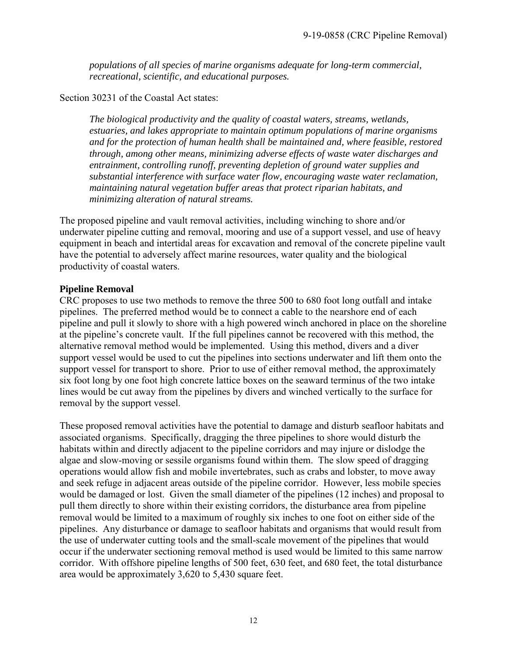*populations of all species of marine organisms adequate for long-term commercial, recreational, scientific, and educational purposes.* 

Section 30231 of the Coastal Act states:

*The biological productivity and the quality of coastal waters, streams, wetlands, estuaries, and lakes appropriate to maintain optimum populations of marine organisms and for the protection of human health shall be maintained and, where feasible, restored through, among other means, minimizing adverse effects of waste water discharges and entrainment, controlling runoff, preventing depletion of ground water supplies and substantial interference with surface water flow, encouraging waste water reclamation, maintaining natural vegetation buffer areas that protect riparian habitats, and minimizing alteration of natural streams.* 

The proposed pipeline and vault removal activities, including winching to shore and/or underwater pipeline cutting and removal, mooring and use of a support vessel, and use of heavy equipment in beach and intertidal areas for excavation and removal of the concrete pipeline vault have the potential to adversely affect marine resources, water quality and the biological productivity of coastal waters.

#### **Pipeline Removal**

CRC proposes to use two methods to remove the three 500 to 680 foot long outfall and intake pipelines. The preferred method would be to connect a cable to the nearshore end of each pipeline and pull it slowly to shore with a high powered winch anchored in place on the shoreline at the pipeline's concrete vault. If the full pipelines cannot be recovered with this method, the alternative removal method would be implemented. Using this method, divers and a diver support vessel would be used to cut the pipelines into sections underwater and lift them onto the support vessel for transport to shore. Prior to use of either removal method, the approximately six foot long by one foot high concrete lattice boxes on the seaward terminus of the two intake lines would be cut away from the pipelines by divers and winched vertically to the surface for removal by the support vessel.

These proposed removal activities have the potential to damage and disturb seafloor habitats and associated organisms. Specifically, dragging the three pipelines to shore would disturb the habitats within and directly adjacent to the pipeline corridors and may injure or dislodge the algae and slow-moving or sessile organisms found within them. The slow speed of dragging operations would allow fish and mobile invertebrates, such as crabs and lobster, to move away and seek refuge in adjacent areas outside of the pipeline corridor. However, less mobile species would be damaged or lost. Given the small diameter of the pipelines (12 inches) and proposal to pull them directly to shore within their existing corridors, the disturbance area from pipeline removal would be limited to a maximum of roughly six inches to one foot on either side of the pipelines. Any disturbance or damage to seafloor habitats and organisms that would result from the use of underwater cutting tools and the small-scale movement of the pipelines that would occur if the underwater sectioning removal method is used would be limited to this same narrow corridor. With offshore pipeline lengths of 500 feet, 630 feet, and 680 feet, the total disturbance area would be approximately 3,620 to 5,430 square feet.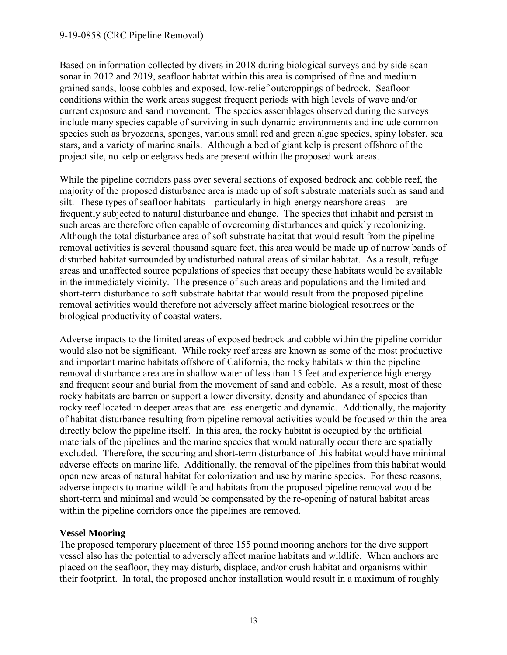Based on information collected by divers in 2018 during biological surveys and by side-scan sonar in 2012 and 2019, seafloor habitat within this area is comprised of fine and medium grained sands, loose cobbles and exposed, low-relief outcroppings of bedrock. Seafloor conditions within the work areas suggest frequent periods with high levels of wave and/or current exposure and sand movement. The species assemblages observed during the surveys include many species capable of surviving in such dynamic environments and include common species such as bryozoans, sponges, various small red and green algae species, spiny lobster, sea stars, and a variety of marine snails. Although a bed of giant kelp is present offshore of the project site, no kelp or eelgrass beds are present within the proposed work areas.

While the pipeline corridors pass over several sections of exposed bedrock and cobble reef, the majority of the proposed disturbance area is made up of soft substrate materials such as sand and silt. These types of seafloor habitats – particularly in high-energy nearshore areas – are frequently subjected to natural disturbance and change. The species that inhabit and persist in such areas are therefore often capable of overcoming disturbances and quickly recolonizing. Although the total disturbance area of soft substrate habitat that would result from the pipeline removal activities is several thousand square feet, this area would be made up of narrow bands of disturbed habitat surrounded by undisturbed natural areas of similar habitat. As a result, refuge areas and unaffected source populations of species that occupy these habitats would be available in the immediately vicinity. The presence of such areas and populations and the limited and short-term disturbance to soft substrate habitat that would result from the proposed pipeline removal activities would therefore not adversely affect marine biological resources or the biological productivity of coastal waters.

Adverse impacts to the limited areas of exposed bedrock and cobble within the pipeline corridor would also not be significant. While rocky reef areas are known as some of the most productive and important marine habitats offshore of California, the rocky habitats within the pipeline removal disturbance area are in shallow water of less than 15 feet and experience high energy and frequent scour and burial from the movement of sand and cobble. As a result, most of these rocky habitats are barren or support a lower diversity, density and abundance of species than rocky reef located in deeper areas that are less energetic and dynamic. Additionally, the majority of habitat disturbance resulting from pipeline removal activities would be focused within the area directly below the pipeline itself. In this area, the rocky habitat is occupied by the artificial materials of the pipelines and the marine species that would naturally occur there are spatially excluded. Therefore, the scouring and short-term disturbance of this habitat would have minimal adverse effects on marine life. Additionally, the removal of the pipelines from this habitat would open new areas of natural habitat for colonization and use by marine species. For these reasons, adverse impacts to marine wildlife and habitats from the proposed pipeline removal would be short-term and minimal and would be compensated by the re-opening of natural habitat areas within the pipeline corridors once the pipelines are removed.

#### **Vessel Mooring**

The proposed temporary placement of three 155 pound mooring anchors for the dive support vessel also has the potential to adversely affect marine habitats and wildlife. When anchors are placed on the seafloor, they may disturb, displace, and/or crush habitat and organisms within their footprint. In total, the proposed anchor installation would result in a maximum of roughly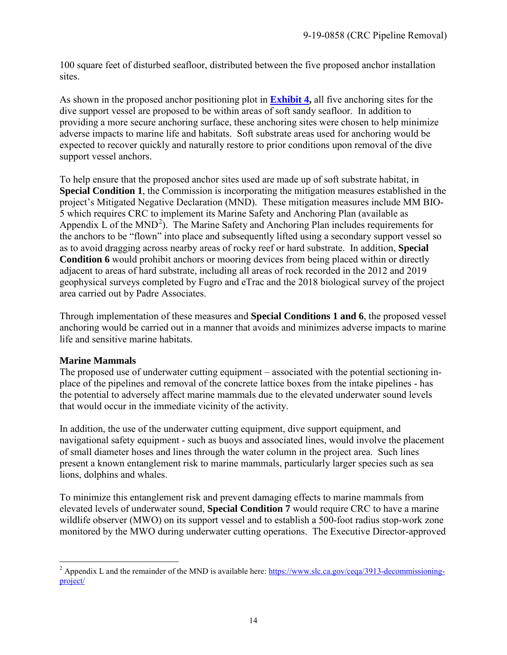100 square feet of disturbed seafloor, distributed between the five proposed anchor installation sites.

As shown in the proposed anchor positioning plot in **[Exhibit 4,](https://documents.coastal.ca.gov/reports/2020/2/F13b/F13b-2-2020-exhibits.pdf)** all five anchoring sites for the dive support vessel are proposed to be within areas of soft sandy seafloor. In addition to providing a more secure anchoring surface, these anchoring sites were chosen to help minimize adverse impacts to marine life and habitats. Soft substrate areas used for anchoring would be expected to recover quickly and naturally restore to prior conditions upon removal of the dive support vessel anchors.

To help ensure that the proposed anchor sites used are made up of soft substrate habitat, in **Special Condition 1**, the Commission is incorporating the mitigation measures established in the project's Mitigated Negative Declaration (MND). These mitigation measures include MM BIO-5 which requires CRC to implement its Marine Safety and Anchoring Plan (available as Appendix  $\dot{L}$  of the MND<sup>[2](#page-13-0)</sup>). The Marine Safety and Anchoring Plan includes requirements for the anchors to be "flown" into place and subsequently lifted using a secondary support vessel so as to avoid dragging across nearby areas of rocky reef or hard substrate. In addition, **Special Condition 6** would prohibit anchors or mooring devices from being placed within or directly adjacent to areas of hard substrate, including all areas of rock recorded in the 2012 and 2019 geophysical surveys completed by Fugro and eTrac and the 2018 biological survey of the project area carried out by Padre Associates.

Through implementation of these measures and **Special Conditions 1 and 6**, the proposed vessel anchoring would be carried out in a manner that avoids and minimizes adverse impacts to marine life and sensitive marine habitats.

#### **Marine Mammals**

The proposed use of underwater cutting equipment – associated with the potential sectioning inplace of the pipelines and removal of the concrete lattice boxes from the intake pipelines - has the potential to adversely affect marine mammals due to the elevated underwater sound levels that would occur in the immediate vicinity of the activity.

In addition, the use of the underwater cutting equipment, dive support equipment, and navigational safety equipment - such as buoys and associated lines, would involve the placement of small diameter hoses and lines through the water column in the project area. Such lines present a known entanglement risk to marine mammals, particularly larger species such as sea lions, dolphins and whales.

To minimize this entanglement risk and prevent damaging effects to marine mammals from elevated levels of underwater sound, **Special Condition 7** would require CRC to have a marine wildlife observer (MWO) on its support vessel and to establish a 500-foot radius stop-work zone monitored by the MWO during underwater cutting operations. The Executive Director-approved

<span id="page-13-0"></span> $\overline{a}$ <sup>2</sup> Appendix L and the remainder of the MND is available here[: https://www.slc.ca.gov/ceqa/3913-decommissioning](https://www.slc.ca.gov/ceqa/3913-decommissioning-project/)[project/](https://www.slc.ca.gov/ceqa/3913-decommissioning-project/)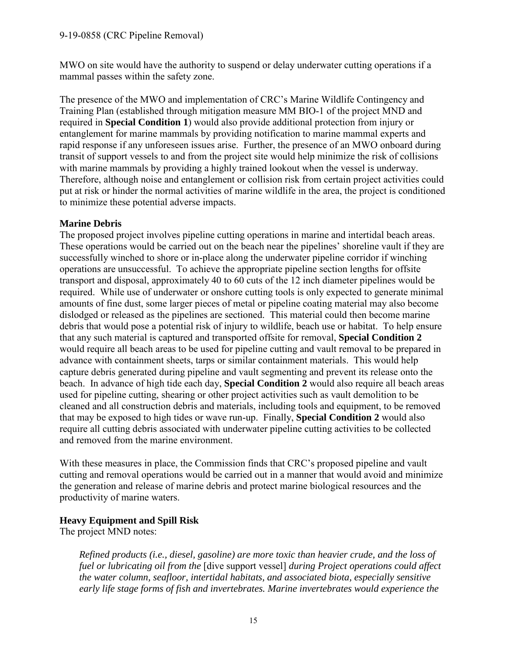MWO on site would have the authority to suspend or delay underwater cutting operations if a mammal passes within the safety zone.

The presence of the MWO and implementation of CRC's Marine Wildlife Contingency and Training Plan (established through mitigation measure MM BIO-1 of the project MND and required in **Special Condition 1**) would also provide additional protection from injury or entanglement for marine mammals by providing notification to marine mammal experts and rapid response if any unforeseen issues arise. Further, the presence of an MWO onboard during transit of support vessels to and from the project site would help minimize the risk of collisions with marine mammals by providing a highly trained lookout when the vessel is underway. Therefore, although noise and entanglement or collision risk from certain project activities could put at risk or hinder the normal activities of marine wildlife in the area, the project is conditioned to minimize these potential adverse impacts.

#### **Marine Debris**

The proposed project involves pipeline cutting operations in marine and intertidal beach areas. These operations would be carried out on the beach near the pipelines' shoreline vault if they are successfully winched to shore or in-place along the underwater pipeline corridor if winching operations are unsuccessful. To achieve the appropriate pipeline section lengths for offsite transport and disposal, approximately 40 to 60 cuts of the 12 inch diameter pipelines would be required. While use of underwater or onshore cutting tools is only expected to generate minimal amounts of fine dust, some larger pieces of metal or pipeline coating material may also become dislodged or released as the pipelines are sectioned. This material could then become marine debris that would pose a potential risk of injury to wildlife, beach use or habitat. To help ensure that any such material is captured and transported offsite for removal, **Special Condition 2** would require all beach areas to be used for pipeline cutting and vault removal to be prepared in advance with containment sheets, tarps or similar containment materials. This would help capture debris generated during pipeline and vault segmenting and prevent its release onto the beach. In advance of high tide each day, **Special Condition 2** would also require all beach areas used for pipeline cutting, shearing or other project activities such as vault demolition to be cleaned and all construction debris and materials, including tools and equipment, to be removed that may be exposed to high tides or wave run-up. Finally, **Special Condition 2** would also require all cutting debris associated with underwater pipeline cutting activities to be collected and removed from the marine environment.

With these measures in place, the Commission finds that CRC's proposed pipeline and vault cutting and removal operations would be carried out in a manner that would avoid and minimize the generation and release of marine debris and protect marine biological resources and the productivity of marine waters.

#### **Heavy Equipment and Spill Risk**

The project MND notes:

*Refined products (i.e., diesel, gasoline) are more toxic than heavier crude, and the loss of fuel or lubricating oil from the* [dive support vessel] *during Project operations could affect the water column, seafloor, intertidal habitats, and associated biota, especially sensitive early life stage forms of fish and invertebrates. Marine invertebrates would experience the*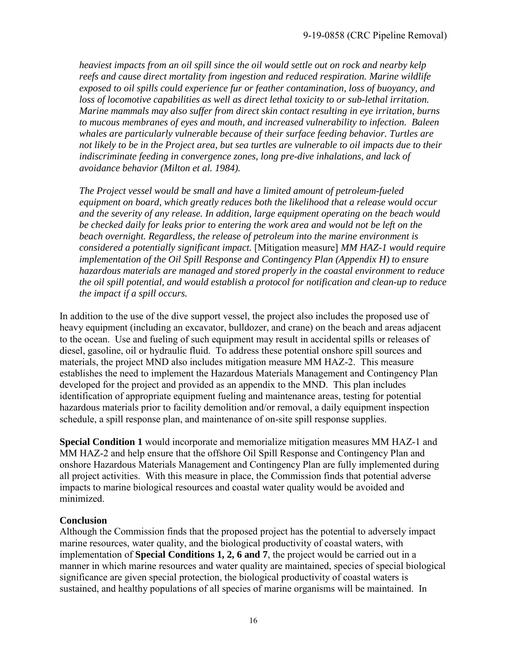*heaviest impacts from an oil spill since the oil would settle out on rock and nearby kelp reefs and cause direct mortality from ingestion and reduced respiration. Marine wildlife exposed to oil spills could experience fur or feather contamination, loss of buoyancy, and loss of locomotive capabilities as well as direct lethal toxicity to or sub-lethal irritation. Marine mammals may also suffer from direct skin contact resulting in eye irritation, burns to mucous membranes of eyes and mouth, and increased vulnerability to infection. Baleen whales are particularly vulnerable because of their surface feeding behavior. Turtles are not likely to be in the Project area, but sea turtles are vulnerable to oil impacts due to their indiscriminate feeding in convergence zones, long pre-dive inhalations, and lack of avoidance behavior (Milton et al. 1984).* 

*The Project vessel would be small and have a limited amount of petroleum-fueled equipment on board, which greatly reduces both the likelihood that a release would occur and the severity of any release. In addition, large equipment operating on the beach would*  be checked daily for leaks prior to entering the work area and would not be left on the *beach overnight. Regardless, the release of petroleum into the marine environment is considered a potentially significant impact.* [Mitigation measure] *MM HAZ-1 would require implementation of the Oil Spill Response and Contingency Plan (Appendix H) to ensure hazardous materials are managed and stored properly in the coastal environment to reduce the oil spill potential, and would establish a protocol for notification and clean-up to reduce the impact if a spill occurs.*

In addition to the use of the dive support vessel, the project also includes the proposed use of heavy equipment (including an excavator, bulldozer, and crane) on the beach and areas adjacent to the ocean. Use and fueling of such equipment may result in accidental spills or releases of diesel, gasoline, oil or hydraulic fluid. To address these potential onshore spill sources and materials, the project MND also includes mitigation measure MM HAZ-2. This measure establishes the need to implement the Hazardous Materials Management and Contingency Plan developed for the project and provided as an appendix to the MND. This plan includes identification of appropriate equipment fueling and maintenance areas, testing for potential hazardous materials prior to facility demolition and/or removal, a daily equipment inspection schedule, a spill response plan, and maintenance of on-site spill response supplies.

**Special Condition 1** would incorporate and memorialize mitigation measures MM HAZ-1 and MM HAZ-2 and help ensure that the offshore Oil Spill Response and Contingency Plan and onshore Hazardous Materials Management and Contingency Plan are fully implemented during all project activities. With this measure in place, the Commission finds that potential adverse impacts to marine biological resources and coastal water quality would be avoided and minimized.

#### **Conclusion**

Although the Commission finds that the proposed project has the potential to adversely impact marine resources, water quality, and the biological productivity of coastal waters, with implementation of **Special Conditions 1, 2, 6 and 7**, the project would be carried out in a manner in which marine resources and water quality are maintained, species of special biological significance are given special protection, the biological productivity of coastal waters is sustained, and healthy populations of all species of marine organisms will be maintained. In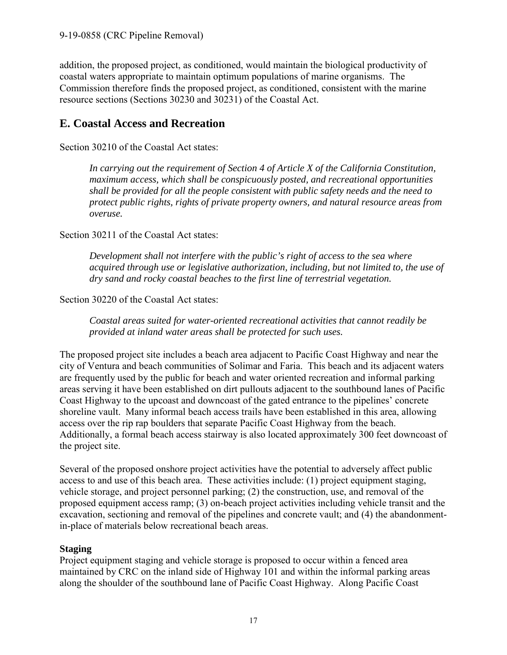addition, the proposed project, as conditioned, would maintain the biological productivity of coastal waters appropriate to maintain optimum populations of marine organisms. The Commission therefore finds the proposed project, as conditioned, consistent with the marine resource sections (Sections 30230 and 30231) of the Coastal Act.

## <span id="page-16-0"></span>**E. Coastal Access and Recreation**

Section 30210 of the Coastal Act states:

*In carrying out the requirement of Section 4 of Article X of the California Constitution, maximum access, which shall be conspicuously posted, and recreational opportunities shall be provided for all the people consistent with public safety needs and the need to protect public rights, rights of private property owners, and natural resource areas from overuse.*

Section 30211 of the Coastal Act states:

*Development shall not interfere with the public's right of access to the sea where acquired through use or legislative authorization, including, but not limited to, the use of dry sand and rocky coastal beaches to the first line of terrestrial vegetation.* 

Section 30220 of the Coastal Act states:

*Coastal areas suited for water-oriented recreational activities that cannot readily be provided at inland water areas shall be protected for such uses.* 

The proposed project site includes a beach area adjacent to Pacific Coast Highway and near the city of Ventura and beach communities of Solimar and Faria. This beach and its adjacent waters are frequently used by the public for beach and water oriented recreation and informal parking areas serving it have been established on dirt pullouts adjacent to the southbound lanes of Pacific Coast Highway to the upcoast and downcoast of the gated entrance to the pipelines' concrete shoreline vault. Many informal beach access trails have been established in this area, allowing access over the rip rap boulders that separate Pacific Coast Highway from the beach. Additionally, a formal beach access stairway is also located approximately 300 feet downcoast of the project site.

Several of the proposed onshore project activities have the potential to adversely affect public access to and use of this beach area. These activities include: (1) project equipment staging, vehicle storage, and project personnel parking; (2) the construction, use, and removal of the proposed equipment access ramp; (3) on-beach project activities including vehicle transit and the excavation, sectioning and removal of the pipelines and concrete vault; and (4) the abandonmentin-place of materials below recreational beach areas.

### **Staging**

Project equipment staging and vehicle storage is proposed to occur within a fenced area maintained by CRC on the inland side of Highway 101 and within the informal parking areas along the shoulder of the southbound lane of Pacific Coast Highway. Along Pacific Coast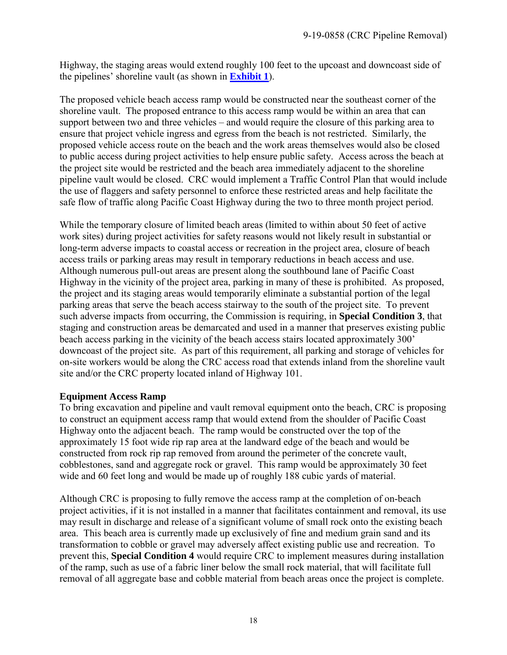Highway, the staging areas would extend roughly 100 feet to the upcoast and downcoast side of the pipelines' shoreline vault (as shown in **[Exhibit 1](https://documents.coastal.ca.gov/reports/2020/2/F13b/F13b-2-2020-exhibits.pdf)**).

The proposed vehicle beach access ramp would be constructed near the southeast corner of the shoreline vault. The proposed entrance to this access ramp would be within an area that can support between two and three vehicles – and would require the closure of this parking area to ensure that project vehicle ingress and egress from the beach is not restricted. Similarly, the proposed vehicle access route on the beach and the work areas themselves would also be closed to public access during project activities to help ensure public safety. Access across the beach at the project site would be restricted and the beach area immediately adjacent to the shoreline pipeline vault would be closed. CRC would implement a Traffic Control Plan that would include the use of flaggers and safety personnel to enforce these restricted areas and help facilitate the safe flow of traffic along Pacific Coast Highway during the two to three month project period.

While the temporary closure of limited beach areas (limited to within about 50 feet of active work sites) during project activities for safety reasons would not likely result in substantial or long-term adverse impacts to coastal access or recreation in the project area, closure of beach access trails or parking areas may result in temporary reductions in beach access and use. Although numerous pull-out areas are present along the southbound lane of Pacific Coast Highway in the vicinity of the project area, parking in many of these is prohibited. As proposed, the project and its staging areas would temporarily eliminate a substantial portion of the legal parking areas that serve the beach access stairway to the south of the project site. To prevent such adverse impacts from occurring, the Commission is requiring, in **Special Condition 3**, that staging and construction areas be demarcated and used in a manner that preserves existing public beach access parking in the vicinity of the beach access stairs located approximately 300' downcoast of the project site. As part of this requirement, all parking and storage of vehicles for on-site workers would be along the CRC access road that extends inland from the shoreline vault site and/or the CRC property located inland of Highway 101.

#### **Equipment Access Ramp**

To bring excavation and pipeline and vault removal equipment onto the beach, CRC is proposing to construct an equipment access ramp that would extend from the shoulder of Pacific Coast Highway onto the adjacent beach. The ramp would be constructed over the top of the approximately 15 foot wide rip rap area at the landward edge of the beach and would be constructed from rock rip rap removed from around the perimeter of the concrete vault, cobblestones, sand and aggregate rock or gravel. This ramp would be approximately 30 feet wide and 60 feet long and would be made up of roughly 188 cubic yards of material.

Although CRC is proposing to fully remove the access ramp at the completion of on-beach project activities, if it is not installed in a manner that facilitates containment and removal, its use may result in discharge and release of a significant volume of small rock onto the existing beach area. This beach area is currently made up exclusively of fine and medium grain sand and its transformation to cobble or gravel may adversely affect existing public use and recreation. To prevent this, **Special Condition 4** would require CRC to implement measures during installation of the ramp, such as use of a fabric liner below the small rock material, that will facilitate full removal of all aggregate base and cobble material from beach areas once the project is complete.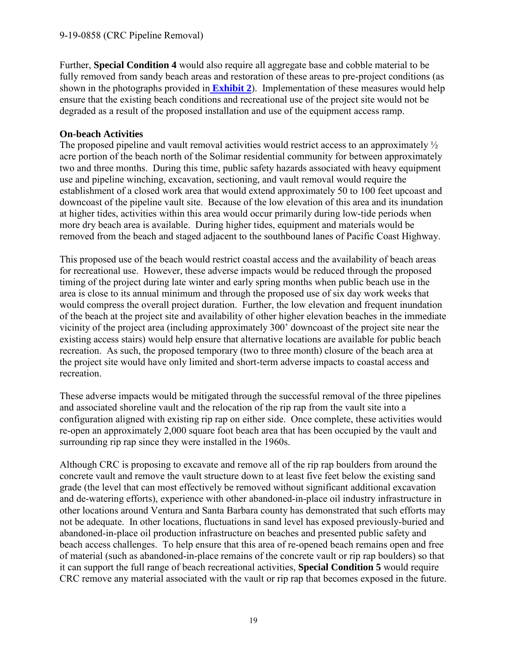Further, **Special Condition 4** would also require all aggregate base and cobble material to be fully removed from sandy beach areas and restoration of these areas to pre-project conditions (as shown in the photographs provided in **[Exhibit 2](https://documents.coastal.ca.gov/reports/2020/2/F13b/F13b-2-2020-exhibits.pdf)**). Implementation of these measures would help ensure that the existing beach conditions and recreational use of the project site would not be degraded as a result of the proposed installation and use of the equipment access ramp.

#### **On-beach Activities**

The proposed pipeline and vault removal activities would restrict access to an approximately  $\frac{1}{2}$ acre portion of the beach north of the Solimar residential community for between approximately two and three months. During this time, public safety hazards associated with heavy equipment use and pipeline winching, excavation, sectioning, and vault removal would require the establishment of a closed work area that would extend approximately 50 to 100 feet upcoast and downcoast of the pipeline vault site. Because of the low elevation of this area and its inundation at higher tides, activities within this area would occur primarily during low-tide periods when more dry beach area is available. During higher tides, equipment and materials would be removed from the beach and staged adjacent to the southbound lanes of Pacific Coast Highway.

This proposed use of the beach would restrict coastal access and the availability of beach areas for recreational use. However, these adverse impacts would be reduced through the proposed timing of the project during late winter and early spring months when public beach use in the area is close to its annual minimum and through the proposed use of six day work weeks that would compress the overall project duration. Further, the low elevation and frequent inundation of the beach at the project site and availability of other higher elevation beaches in the immediate vicinity of the project area (including approximately 300' downcoast of the project site near the existing access stairs) would help ensure that alternative locations are available for public beach recreation. As such, the proposed temporary (two to three month) closure of the beach area at the project site would have only limited and short-term adverse impacts to coastal access and recreation.

These adverse impacts would be mitigated through the successful removal of the three pipelines and associated shoreline vault and the relocation of the rip rap from the vault site into a configuration aligned with existing rip rap on either side. Once complete, these activities would re-open an approximately 2,000 square foot beach area that has been occupied by the vault and surrounding rip rap since they were installed in the 1960s.

Although CRC is proposing to excavate and remove all of the rip rap boulders from around the concrete vault and remove the vault structure down to at least five feet below the existing sand grade (the level that can most effectively be removed without significant additional excavation and de-watering efforts), experience with other abandoned-in-place oil industry infrastructure in other locations around Ventura and Santa Barbara county has demonstrated that such efforts may not be adequate. In other locations, fluctuations in sand level has exposed previously-buried and abandoned-in-place oil production infrastructure on beaches and presented public safety and beach access challenges. To help ensure that this area of re-opened beach remains open and free of material (such as abandoned-in-place remains of the concrete vault or rip rap boulders) so that it can support the full range of beach recreational activities, **Special Condition 5** would require CRC remove any material associated with the vault or rip rap that becomes exposed in the future.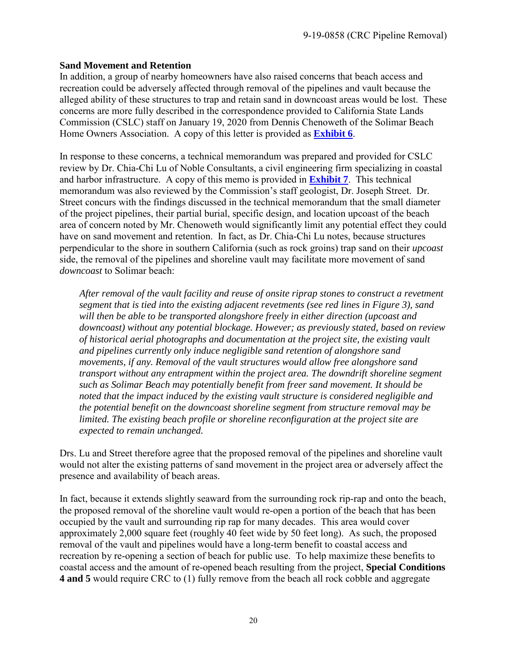#### **Sand Movement and Retention**

In addition, a group of nearby homeowners have also raised concerns that beach access and recreation could be adversely affected through removal of the pipelines and vault because the alleged ability of these structures to trap and retain sand in downcoast areas would be lost. These concerns are more fully described in the correspondence provided to California State Lands Commission (CSLC) staff on January 19, 2020 from Dennis Chenoweth of the Solimar Beach Home Owners Association. A copy of this letter is provided as **[Exhibit 6](https://documents.coastal.ca.gov/reports/2020/2/F13b/F13b-2-2020-exhibits.pdf)**.

In response to these concerns, a technical memorandum was prepared and provided for CSLC review by Dr. Chia-Chi Lu of Noble Consultants, a civil engineering firm specializing in coastal and harbor infrastructure. A copy of this memo is provided in **[Exhibit 7](https://documents.coastal.ca.gov/reports/2020/2/F13b/F13b-2-2020-exhibits.pdf)**. This technical memorandum was also reviewed by the Commission's staff geologist, Dr. Joseph Street. Dr. Street concurs with the findings discussed in the technical memorandum that the small diameter of the project pipelines, their partial burial, specific design, and location upcoast of the beach area of concern noted by Mr. Chenoweth would significantly limit any potential effect they could have on sand movement and retention. In fact, as Dr. Chia-Chi Lu notes, because structures perpendicular to the shore in southern California (such as rock groins) trap sand on their *upcoast* side, the removal of the pipelines and shoreline vault may facilitate more movement of sand *downcoast* to Solimar beach:

*After removal of the vault facility and reuse of onsite riprap stones to construct a revetment segment that is tied into the existing adjacent revetments (see red lines in Figure 3), sand will then be able to be transported alongshore freely in either direction (upcoast and downcoast) without any potential blockage. However; as previously stated, based on review of historical aerial photographs and documentation at the project site, the existing vault and pipelines currently only induce negligible sand retention of alongshore sand movements, if any. Removal of the vault structures would allow free alongshore sand transport without any entrapment within the project area. The downdrift shoreline segment such as Solimar Beach may potentially benefit from freer sand movement. It should be noted that the impact induced by the existing vault structure is considered negligible and the potential benefit on the downcoast shoreline segment from structure removal may be limited. The existing beach profile or shoreline reconfiguration at the project site are expected to remain unchanged.* 

Drs. Lu and Street therefore agree that the proposed removal of the pipelines and shoreline vault would not alter the existing patterns of sand movement in the project area or adversely affect the presence and availability of beach areas.

In fact, because it extends slightly seaward from the surrounding rock rip-rap and onto the beach, the proposed removal of the shoreline vault would re-open a portion of the beach that has been occupied by the vault and surrounding rip rap for many decades. This area would cover approximately 2,000 square feet (roughly 40 feet wide by 50 feet long). As such, the proposed removal of the vault and pipelines would have a long-term benefit to coastal access and recreation by re-opening a section of beach for public use. To help maximize these benefits to coastal access and the amount of re-opened beach resulting from the project, **Special Conditions 4 and 5** would require CRC to (1) fully remove from the beach all rock cobble and aggregate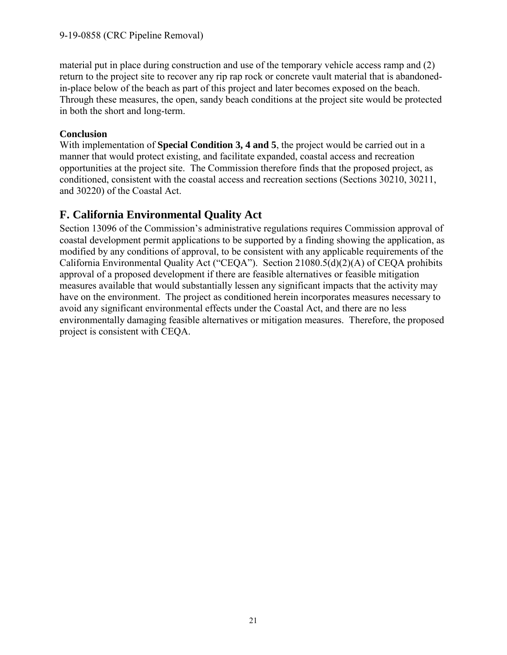material put in place during construction and use of the temporary vehicle access ramp and (2) return to the project site to recover any rip rap rock or concrete vault material that is abandonedin-place below of the beach as part of this project and later becomes exposed on the beach. Through these measures, the open, sandy beach conditions at the project site would be protected in both the short and long-term.

#### **Conclusion**

With implementation of **Special Condition 3, 4 and 5**, the project would be carried out in a manner that would protect existing, and facilitate expanded, coastal access and recreation opportunities at the project site. The Commission therefore finds that the proposed project, as conditioned, consistent with the coastal access and recreation sections (Sections 30210, 30211, and 30220) of the Coastal Act.

## <span id="page-20-0"></span>**F. California Environmental Quality Act**

Section 13096 of the Commission's administrative regulations requires Commission approval of coastal development permit applications to be supported by a finding showing the application, as modified by any conditions of approval, to be consistent with any applicable requirements of the California Environmental Quality Act ("CEQA"). Section 21080.5(d)(2)(A) of CEQA prohibits approval of a proposed development if there are feasible alternatives or feasible mitigation measures available that would substantially lessen any significant impacts that the activity may have on the environment. The project as conditioned herein incorporates measures necessary to avoid any significant environmental effects under the Coastal Act, and there are no less environmentally damaging feasible alternatives or mitigation measures. Therefore, the proposed project is consistent with CEQA.